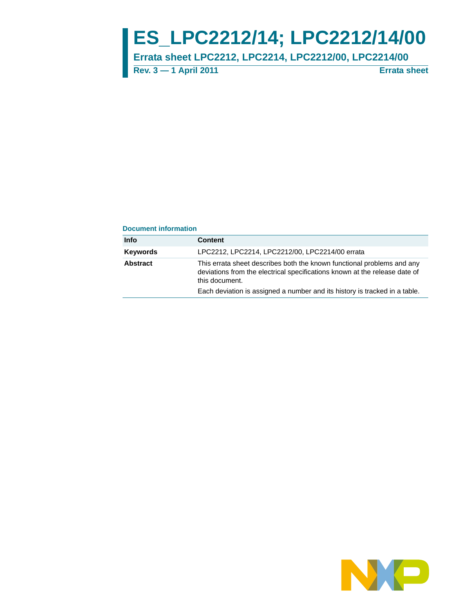# **ES\_LPC2212/14; LPC2212/14/00**

**Errata sheet LPC2212, LPC2214, LPC2212/00, LPC2214/00**

**Rev. 3 — 1 April 2011 Errata sheet**

#### **Document information**

| Info     | <b>Content</b>                                                                                                                                                         |
|----------|------------------------------------------------------------------------------------------------------------------------------------------------------------------------|
| Kevwords | LPC2212, LPC2214, LPC2212/00, LPC2214/00 errata                                                                                                                        |
| Abstract | This errata sheet describes both the known functional problems and any<br>deviations from the electrical specifications known at the release date of<br>this document. |
|          | Each deviation is assigned a number and its history is tracked in a table.                                                                                             |

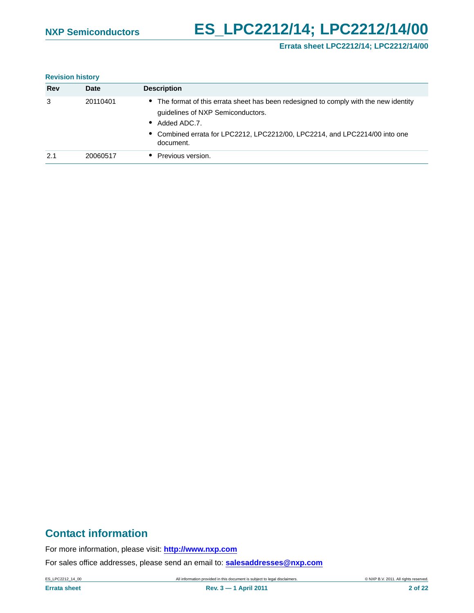# **NXP Semiconductors ES\_LPC2212/14; LPC2212/14/00**

### **Errata sheet LPC2212/14; LPC2212/14/00**

#### **Revision history**

| <b>Rev</b> | <b>Date</b> | <b>Description</b>                                                                                                                         |
|------------|-------------|--------------------------------------------------------------------------------------------------------------------------------------------|
| 3          | 20110401    | • The format of this errata sheet has been redesigned to comply with the new identity<br>guidelines of NXP Semiconductors.<br>Added ADC.7. |
|            |             | • Combined errata for LPC2212, LPC2212/00, LPC2214, and LPC2214/00 into one<br>document.                                                   |
| 2.1        | 20060517    | Previous version.                                                                                                                          |

# **Contact information**

For more information, please visit: **http://www.nxp.com**

For sales office addresses, please send an email to: **salesaddresses@nxp.com**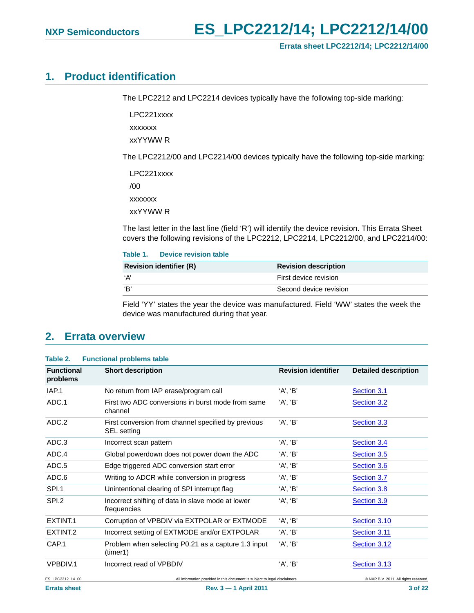## <span id="page-2-0"></span>**1. Product identification**

The LPC2212 and LPC2214 devices typically have the following top-side marking:

LPC221xxxx

xxxxxxx

xxYYWW R

The LPC2212/00 and LPC2214/00 devices typically have the following top-side marking:

LPC221xxxx  $/00$ xxxxxxx xxYYWW R

The last letter in the last line (field 'R') will identify the device revision. This Errata Sheet covers the following revisions of the LPC2212, LPC2214, LPC2212/00, and LPC2214/00:

## **Table 1. Device revision table**

| <b>Revision identifier (R)</b> | <b>Revision description</b> |
|--------------------------------|-----------------------------|
| 'А'                            | First device revision       |
| ʻR'                            | Second device revision      |

Field 'YY' states the year the device was manufactured. Field 'WW' states the week the device was manufactured during that year.

## <span id="page-2-1"></span>**2. Errata overview**

| Table 2. |  | <b>Functional problems table</b> |
|----------|--|----------------------------------|
|----------|--|----------------------------------|

| <b>Functional</b><br>problems | <b>Short description</b>                                                   | <b>Revision identifier</b> | <b>Detailed description</b>           |
|-------------------------------|----------------------------------------------------------------------------|----------------------------|---------------------------------------|
| IAP.1                         | No return from IAP erase/program call                                      | 'A', 'B'                   | Section 3.1                           |
| ADC.1                         | First two ADC conversions in burst mode from same<br>channel               | 'A', 'B'                   | Section 3.2                           |
| ADC.2                         | First conversion from channel specified by previous<br>SEL setting         | 'A', 'B'                   | Section 3.3                           |
| ADC.3                         | Incorrect scan pattern                                                     | 'A', 'B'                   | Section 3.4                           |
| ADC.4                         | Global powerdown does not power down the ADC                               | 'A', 'B'                   | Section 3.5                           |
| ADC.5                         | Edge triggered ADC conversion start error                                  | 'A', 'B'                   | Section 3.6                           |
| ADC.6                         | Writing to ADCR while conversion in progress                               | 'A', 'B'                   | Section 3.7                           |
| SPI.1                         | Unintentional clearing of SPI interrupt flag                               | 'A', 'B'                   | Section 3.8                           |
| SPI.2                         | Incorrect shifting of data in slave mode at lower<br>frequencies           | 'A', 'B'                   | Section 3.9                           |
| EXTINT.1                      | Corruption of VPBDIV via EXTPOLAR or EXTMODE                               | 'A', 'B'                   | Section 3.10                          |
| EXTINT <sub>.2</sub>          | Incorrect setting of EXTMODE and/or EXTPOLAR                               | 'A', 'B'                   | Section 3.11                          |
| CAP.1                         | Problem when selecting P0.21 as a capture 1.3 input<br>(timer1)            | 'A', 'B'                   | Section 3.12                          |
| VPBDIV.1                      | Incorrect read of VPBDIV                                                   | 'A', 'B'                   | Section 3.13                          |
| ES_LPC2212_14_00              | All information provided in this document is subject to legal disclaimers. |                            | © NXP B.V. 2011. All rights reserved. |
| <b>Errata sheet</b>           | Rev. 3 - 1 April 2011                                                      |                            | 3 of 22                               |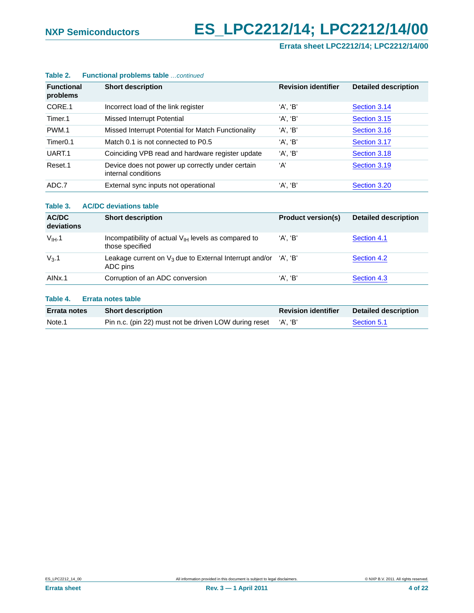# **NXP Semiconductors ES\_LPC2212/14; LPC2212/14/00**

**Errata sheet LPC2212/14; LPC2212/14/00**

| <b>Functional</b><br>problems | <b>Short description</b>                                                | <b>Revision identifier</b> | <b>Detailed description</b> |
|-------------------------------|-------------------------------------------------------------------------|----------------------------|-----------------------------|
| CORE.1                        | Incorrect load of the link register                                     | 'A', 'B'                   | Section 3.14                |
| Timer.1                       | Missed Interrupt Potential                                              | 'A', 'B'                   | Section 3.15                |
| PWM.1                         | Missed Interrupt Potential for Match Functionality                      | 'A', 'B'                   | Section 3.16                |
| Timer <sub>0.1</sub>          | Match 0.1 is not connected to P0.5                                      | 'A', 'B'                   | Section 3.17                |
| UART.1                        | Coinciding VPB read and hardware register update                        | 'A', 'B'                   | Section 3.18                |
| Reset.1                       | Device does not power up correctly under certain<br>internal conditions | ʻA'                        | Section 3.19                |
| ADC.7                         | External sync inputs not operational                                    | 'A', 'B'                   | Section 3.20                |
|                               |                                                                         |                            |                             |

#### **Table 2. Functional problems table** *…continued*

#### **Table 3. AC/DC deviations table**

| AC/DC<br>deviations | <b>Short description</b>                                                       | <b>Product version(s)</b> | <b>Detailed description</b> |
|---------------------|--------------------------------------------------------------------------------|---------------------------|-----------------------------|
| $V_{IH}$ .1         | Incompatibility of actual $V_{H}$ levels as compared to<br>those specified     | 'A', 'B'                  | Section 4.1                 |
| $V_3.1$             | Leakage current on $V_3$ due to External Interrupt and/or 'A', 'B'<br>ADC pins |                           | Section 4.2                 |
| AIN <sub>x.1</sub>  | Corruption of an ADC conversion                                                | 'A'. 'B'                  | Section 4.3                 |

#### **Table 4. Errata notes table**

| <b>Errata notes</b> | <b>Short description</b>                                       | <b>Revision identifier</b> | Detailed description |
|---------------------|----------------------------------------------------------------|----------------------------|----------------------|
| Note.1              | Pin n.c. (pin 22) must not be driven LOW during reset 'A', 'B' |                            | Section 5.1          |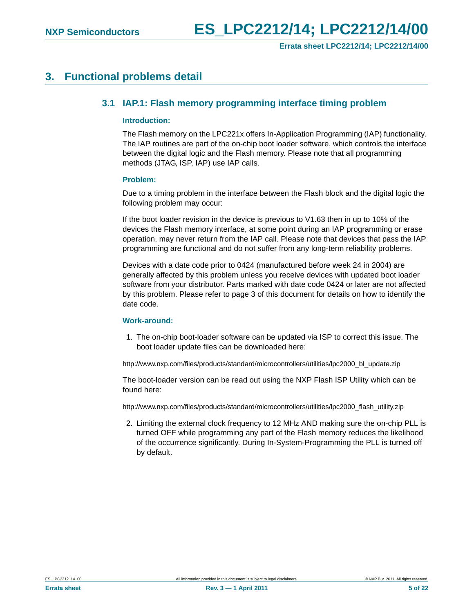## <span id="page-4-1"></span><span id="page-4-0"></span>**3. Functional problems detail**

## **3.1 IAP.1: Flash memory programming interface timing problem**

#### <span id="page-4-2"></span>**Introduction:**

The Flash memory on the LPC221x offers In-Application Programming (IAP) functionality. The IAP routines are part of the on-chip boot loader software, which controls the interface between the digital logic and the Flash memory. Please note that all programming methods (JTAG, ISP, IAP) use IAP calls.

#### <span id="page-4-3"></span>**Problem:**

Due to a timing problem in the interface between the Flash block and the digital logic the following problem may occur:

If the boot loader revision in the device is previous to V1.63 then in up to 10% of the devices the Flash memory interface, at some point during an IAP programming or erase operation, may never return from the IAP call. Please note that devices that pass the IAP programming are functional and do not suffer from any long-term reliability problems.

Devices with a date code prior to 0424 (manufactured before week 24 in 2004) are generally affected by this problem unless you receive devices with updated boot loader software from your distributor. Parts marked with date code 0424 or later are not affected by this problem. Please refer to page 3 of this document for details on how to identify the date code.

#### <span id="page-4-4"></span>**Work-around:**

1. The on-chip boot-loader software can be updated via ISP to correct this issue. The boot loader update files can be downloaded here:

http://www.nxp.com/files/products/standard/microcontrollers/utilities/lpc2000\_bl\_update.zip

The boot-loader version can be read out using the NXP Flash ISP Utility which can be found here:

http://www.nxp.com/files/products/standard/microcontrollers/utilities/lpc2000\_flash\_utility.zip

2. Limiting the external clock frequency to 12 MHz AND making sure the on-chip PLL is turned OFF while programming any part of the Flash memory reduces the likelihood of the occurrence significantly. During In-System-Programming the PLL is turned off by default.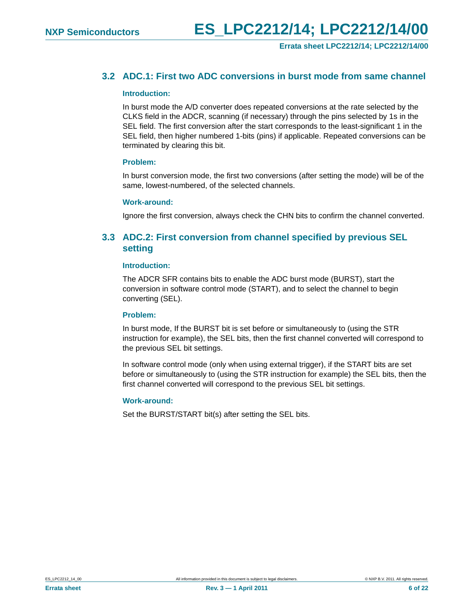## <span id="page-5-0"></span>**3.2 ADC.1: First two ADC conversions in burst mode from same channel**

#### <span id="page-5-2"></span>**Introduction:**

In burst mode the A/D converter does repeated conversions at the rate selected by the CLKS field in the ADCR, scanning (if necessary) through the pins selected by 1s in the SEL field. The first conversion after the start corresponds to the least-significant 1 in the SEL field, then higher numbered 1-bits (pins) if applicable. Repeated conversions can be terminated by clearing this bit.

#### <span id="page-5-3"></span>**Problem:**

In burst conversion mode, the first two conversions (after setting the mode) will be of the same, lowest-numbered, of the selected channels.

#### <span id="page-5-4"></span>**Work-around:**

Ignore the first conversion, always check the CHN bits to confirm the channel converted.

## <span id="page-5-1"></span>**3.3 ADC.2: First conversion from channel specified by previous SEL setting**

#### <span id="page-5-5"></span>**Introduction:**

The ADCR SFR contains bits to enable the ADC burst mode (BURST), start the conversion in software control mode (START), and to select the channel to begin converting (SEL).

#### <span id="page-5-6"></span>**Problem:**

In burst mode, If the BURST bit is set before or simultaneously to (using the STR instruction for example), the SEL bits, then the first channel converted will correspond to the previous SEL bit settings.

In software control mode (only when using external trigger), if the START bits are set before or simultaneously to (using the STR instruction for example) the SEL bits, then the first channel converted will correspond to the previous SEL bit settings.

#### <span id="page-5-7"></span>**Work-around:**

Set the BURST/START bit(s) after setting the SEL bits.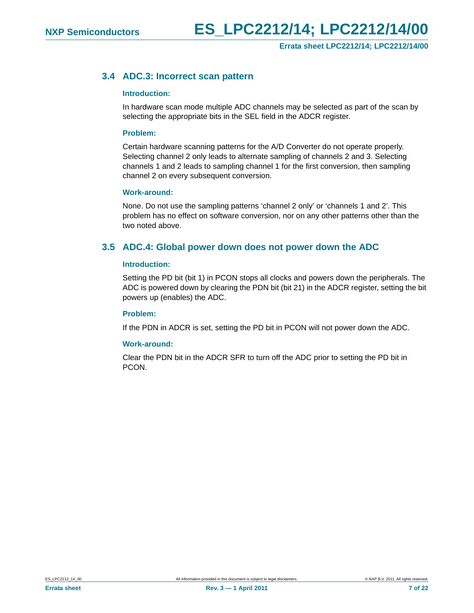## <span id="page-6-0"></span>**3.4 ADC.3: Incorrect scan pattern**

#### <span id="page-6-2"></span>**Introduction:**

In hardware scan mode multiple ADC channels may be selected as part of the scan by selecting the appropriate bits in the SEL field in the ADCR register.

#### <span id="page-6-3"></span>**Problem:**

Certain hardware scanning patterns for the A/D Converter do not operate properly. Selecting channel 2 only leads to alternate sampling of channels 2 and 3. Selecting channels 1 and 2 leads to sampling channel 1 for the first conversion, then sampling channel 2 on every subsequent conversion.

#### <span id="page-6-4"></span>**Work-around:**

None. Do not use the sampling patterns 'channel 2 only' or 'channels 1 and 2'. This problem has no effect on software conversion, nor on any other patterns other than the two noted above.

## <span id="page-6-1"></span>**3.5 ADC.4: Global power down does not power down the ADC**

#### <span id="page-6-5"></span>**Introduction:**

Setting the PD bit (bit 1) in PCON stops all clocks and powers down the peripherals. The ADC is powered down by clearing the PDN bit (bit 21) in the ADCR register, setting the bit powers up (enables) the ADC.

#### <span id="page-6-6"></span>**Problem:**

If the PDN in ADCR is set, setting the PD bit in PCON will not power down the ADC.

#### <span id="page-6-7"></span>**Work-around:**

Clear the PDN bit in the ADCR SFR to turn off the ADC prior to setting the PD bit in PCON.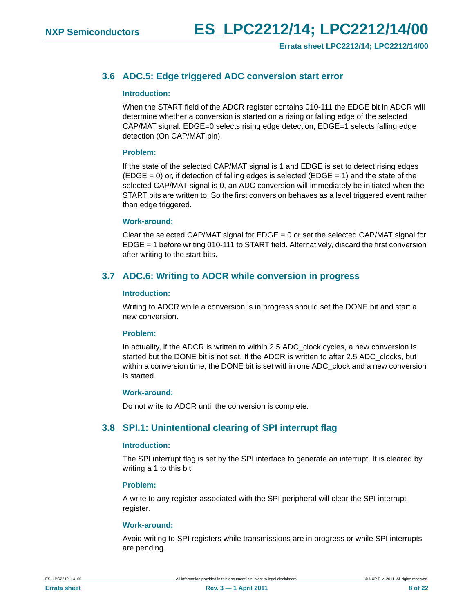## <span id="page-7-0"></span>**3.6 ADC.5: Edge triggered ADC conversion start error**

#### <span id="page-7-3"></span>**Introduction:**

When the START field of the ADCR register contains 010-111 the EDGE bit in ADCR will determine whether a conversion is started on a rising or falling edge of the selected CAP/MAT signal. EDGE=0 selects rising edge detection, EDGE=1 selects falling edge detection (On CAP/MAT pin).

#### <span id="page-7-4"></span>**Problem:**

If the state of the selected CAP/MAT signal is 1 and EDGE is set to detect rising edges  $(EDGE = 0)$  or, if detection of falling edges is selected  $(EDGE = 1)$  and the state of the selected CAP/MAT signal is 0, an ADC conversion will immediately be initiated when the START bits are written to. So the first conversion behaves as a level triggered event rather than edge triggered.

#### <span id="page-7-5"></span>**Work-around:**

Clear the selected CAP/MAT signal for  $EDGE = 0$  or set the selected CAP/MAT signal for EDGE = 1 before writing 010-111 to START field. Alternatively, discard the first conversion after writing to the start bits.

## <span id="page-7-1"></span>**3.7 ADC.6: Writing to ADCR while conversion in progress**

#### <span id="page-7-6"></span>**Introduction:**

Writing to ADCR while a conversion is in progress should set the DONE bit and start a new conversion.

#### <span id="page-7-7"></span>**Problem:**

In actuality, if the ADCR is written to within 2.5 ADC clock cycles, a new conversion is started but the DONE bit is not set. If the ADCR is written to after 2.5 ADC\_clocks, but within a conversion time, the DONE bit is set within one ADC\_clock and a new conversion is started.

#### <span id="page-7-8"></span>**Work-around:**

Do not write to ADCR until the conversion is complete.

## <span id="page-7-2"></span>**3.8 SPI.1: Unintentional clearing of SPI interrupt flag**

#### <span id="page-7-9"></span>**Introduction:**

The SPI interrupt flag is set by the SPI interface to generate an interrupt. It is cleared by writing a 1 to this bit.

#### <span id="page-7-10"></span>**Problem:**

A write to any register associated with the SPI peripheral will clear the SPI interrupt register.

#### <span id="page-7-11"></span>**Work-around:**

Avoid writing to SPI registers while transmissions are in progress or while SPI interrupts are pending.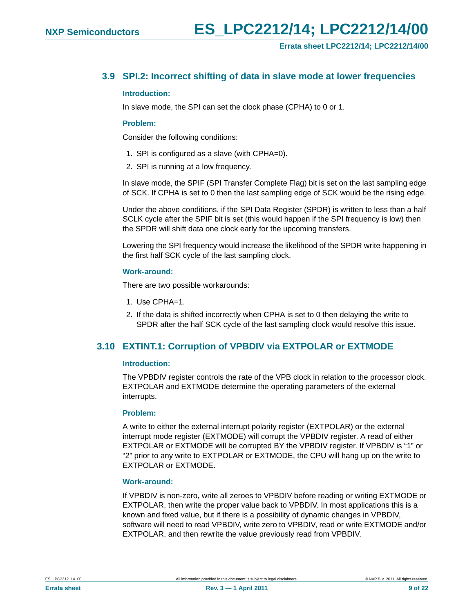## <span id="page-8-0"></span>**3.9 SPI.2: Incorrect shifting of data in slave mode at lower frequencies**

#### <span id="page-8-2"></span>**Introduction:**

In slave mode, the SPI can set the clock phase (CPHA) to 0 or 1.

#### <span id="page-8-3"></span>**Problem:**

Consider the following conditions:

- 1. SPI is configured as a slave (with CPHA=0).
- 2. SPI is running at a low frequency.

In slave mode, the SPIF (SPI Transfer Complete Flag) bit is set on the last sampling edge of SCK. If CPHA is set to 0 then the last sampling edge of SCK would be the rising edge.

Under the above conditions, if the SPI Data Register (SPDR) is written to less than a half SCLK cycle after the SPIF bit is set (this would happen if the SPI frequency is low) then the SPDR will shift data one clock early for the upcoming transfers.

Lowering the SPI frequency would increase the likelihood of the SPDR write happening in the first half SCK cycle of the last sampling clock.

#### <span id="page-8-4"></span>**Work-around:**

There are two possible workarounds:

- 1. Use CPHA=1.
- 2. If the data is shifted incorrectly when CPHA is set to 0 then delaying the write to SPDR after the half SCK cycle of the last sampling clock would resolve this issue.

## <span id="page-8-1"></span>**3.10 EXTINT.1: Corruption of VPBDIV via EXTPOLAR or EXTMODE**

#### <span id="page-8-5"></span>**Introduction:**

The VPBDIV register controls the rate of the VPB clock in relation to the processor clock. EXTPOLAR and EXTMODE determine the operating parameters of the external interrupts.

#### <span id="page-8-6"></span>**Problem:**

A write to either the external interrupt polarity register (EXTPOLAR) or the external interrupt mode register (EXTMODE) will corrupt the VPBDIV register. A read of either EXTPOLAR or EXTMODE will be corrupted BY the VPBDIV register. If VPBDIV is "1" or "2" prior to any write to EXTPOLAR or EXTMODE, the CPU will hang up on the write to EXTPOLAR or EXTMODE.

#### <span id="page-8-7"></span>**Work-around:**

If VPBDIV is non-zero, write all zeroes to VPBDIV before reading or writing EXTMODE or EXTPOLAR, then write the proper value back to VPBDIV. In most applications this is a known and fixed value, but if there is a possibility of dynamic changes in VPBDIV, software will need to read VPBDIV, write zero to VPBDIV, read or write EXTMODE and/or EXTPOLAR, and then rewrite the value previously read from VPBDIV.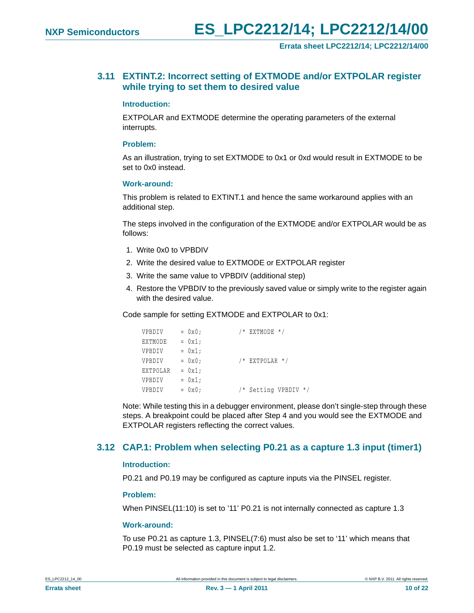## <span id="page-9-0"></span>**3.11 EXTINT.2: Incorrect setting of EXTMODE and/or EXTPOLAR register while trying to set them to desired value**

#### <span id="page-9-2"></span>**Introduction:**

EXTPOLAR and EXTMODE determine the operating parameters of the external interrupts.

#### <span id="page-9-3"></span>**Problem:**

As an illustration, trying to set EXTMODE to 0x1 or 0xd would result in EXTMODE to be set to 0x0 instead.

#### <span id="page-9-4"></span>**Work-around:**

This problem is related to EXTINT.1 and hence the same workaround applies with an additional step.

The steps involved in the configuration of the EXTMODE and/or EXTPOLAR would be as follows:

- 1. Write 0x0 to VPBDIV
- 2. Write the desired value to EXTMODE or EXTPOLAR register
- 3. Write the same value to VPBDIV (additional step)
- 4. Restore the VPBDIV to the previously saved value or simply write to the register again with the desired value.

Code sample for setting EXTMODE and EXTPOLAR to 0x1:

| VPBDIV   | $= 0x0;$ | $/*$ EXTMODE $*/$    |
|----------|----------|----------------------|
| EXTMODE  | $= 0x1;$ |                      |
| VPBDIV   | $= 0x1;$ |                      |
| VPBDIV   | $= 0x0;$ | $/*$ EXTPOLAR $*/$   |
| EXTPOLAR | $= 0x1;$ |                      |
| VPBDIV   | $= 0x1;$ |                      |
| VPBDIV   | $= 0x0;$ | /* Setting VPBDIV */ |

Note: While testing this in a debugger environment, please don't single-step through these steps. A breakpoint could be placed after Step 4 and you would see the EXTMODE and EXTPOLAR registers reflecting the correct values.

## <span id="page-9-1"></span>**3.12 CAP.1: Problem when selecting P0.21 as a capture 1.3 input (timer1)**

#### <span id="page-9-5"></span>**Introduction:**

P0.21 and P0.19 may be configured as capture inputs via the PINSEL register.

#### <span id="page-9-6"></span>**Problem:**

When PINSEL(11:10) is set to '11' P0.21 is not internally connected as capture 1.3

#### <span id="page-9-7"></span>**Work-around:**

To use P0.21 as capture 1.3, PINSEL(7:6) must also be set to '11' which means that P0.19 must be selected as capture input 1.2.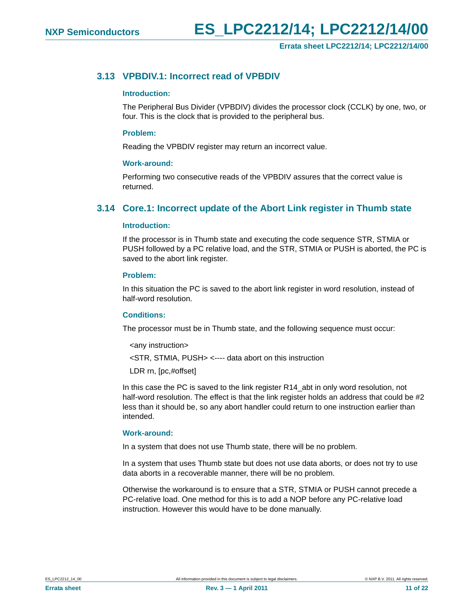## <span id="page-10-0"></span>**3.13 VPBDIV.1: Incorrect read of VPBDIV**

#### <span id="page-10-2"></span>**Introduction:**

The Peripheral Bus Divider (VPBDIV) divides the processor clock (CCLK) by one, two, or four. This is the clock that is provided to the peripheral bus.

#### <span id="page-10-3"></span>**Problem:**

Reading the VPBDIV register may return an incorrect value.

#### <span id="page-10-4"></span>**Work-around:**

Performing two consecutive reads of the VPBDIV assures that the correct value is returned.

## <span id="page-10-1"></span>**3.14 Core.1: Incorrect update of the Abort Link register in Thumb state**

#### <span id="page-10-5"></span>**Introduction:**

If the processor is in Thumb state and executing the code sequence STR, STMIA or PUSH followed by a PC relative load, and the STR, STMIA or PUSH is aborted, the PC is saved to the abort link register.

#### <span id="page-10-6"></span>**Problem:**

In this situation the PC is saved to the abort link register in word resolution, instead of half-word resolution.

#### <span id="page-10-7"></span>**Conditions:**

The processor must be in Thumb state, and the following sequence must occur:

<any instruction>

<STR, STMIA, PUSH> <---- data abort on this instruction

LDR rn, [pc,#offset]

In this case the PC is saved to the link register R14\_abt in only word resolution, not half-word resolution. The effect is that the link register holds an address that could be #2 less than it should be, so any abort handler could return to one instruction earlier than intended.

#### <span id="page-10-8"></span>**Work-around:**

In a system that does not use Thumb state, there will be no problem.

In a system that uses Thumb state but does not use data aborts, or does not try to use data aborts in a recoverable manner, there will be no problem.

Otherwise the workaround is to ensure that a STR, STMIA or PUSH cannot precede a PC-relative load. One method for this is to add a NOP before any PC-relative load instruction. However this would have to be done manually.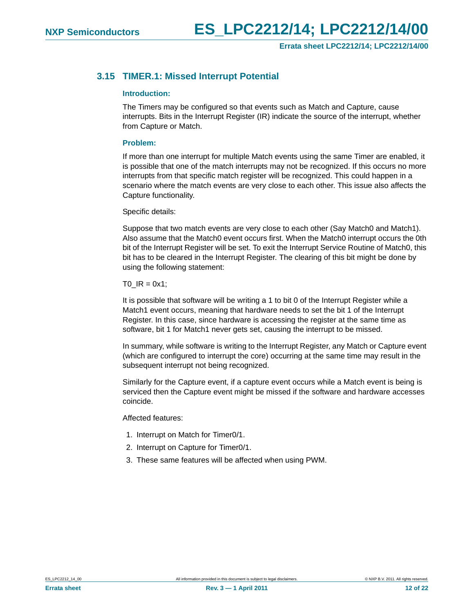## <span id="page-11-0"></span>**3.15 TIMER.1: Missed Interrupt Potential**

#### <span id="page-11-1"></span>**Introduction:**

The Timers may be configured so that events such as Match and Capture, cause interrupts. Bits in the Interrupt Register (IR) indicate the source of the interrupt, whether from Capture or Match.

#### <span id="page-11-2"></span>**Problem:**

If more than one interrupt for multiple Match events using the same Timer are enabled, it is possible that one of the match interrupts may not be recognized. If this occurs no more interrupts from that specific match register will be recognized. This could happen in a scenario where the match events are very close to each other. This issue also affects the Capture functionality.

Specific details:

Suppose that two match events are very close to each other (Say Match0 and Match1). Also assume that the Match0 event occurs first. When the Match0 interrupt occurs the 0th bit of the Interrupt Register will be set. To exit the Interrupt Service Routine of Match0, this bit has to be cleared in the Interrupt Register. The clearing of this bit might be done by using the following statement:

 $TO$   $IR = 0x1$ ;

It is possible that software will be writing a 1 to bit 0 of the Interrupt Register while a Match1 event occurs, meaning that hardware needs to set the bit 1 of the Interrupt Register. In this case, since hardware is accessing the register at the same time as software, bit 1 for Match1 never gets set, causing the interrupt to be missed.

In summary, while software is writing to the Interrupt Register, any Match or Capture event (which are configured to interrupt the core) occurring at the same time may result in the subsequent interrupt not being recognized.

Similarly for the Capture event, if a capture event occurs while a Match event is being is serviced then the Capture event might be missed if the software and hardware accesses coincide.

Affected features:

- 1. Interrupt on Match for Timer0/1.
- 2. Interrupt on Capture for Timer0/1.
- 3. These same features will be affected when using PWM.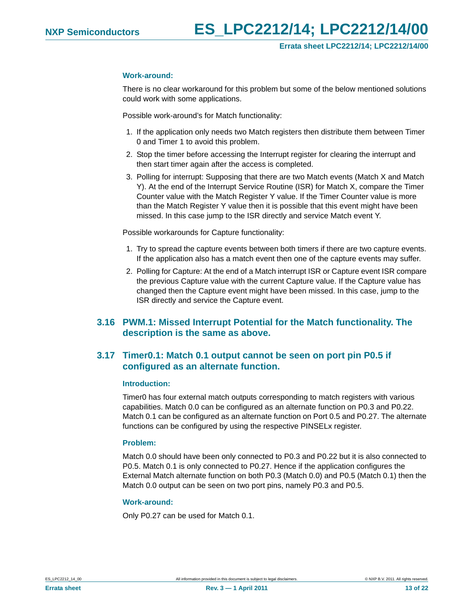#### <span id="page-12-2"></span>**Work-around:**

There is no clear workaround for this problem but some of the below mentioned solutions could work with some applications.

Possible work-around's for Match functionality:

- 1. If the application only needs two Match registers then distribute them between Timer 0 and Timer 1 to avoid this problem.
- 2. Stop the timer before accessing the Interrupt register for clearing the interrupt and then start timer again after the access is completed.
- 3. Polling for interrupt: Supposing that there are two Match events (Match X and Match Y). At the end of the Interrupt Service Routine (ISR) for Match X, compare the Timer Counter value with the Match Register Y value. If the Timer Counter value is more than the Match Register Y value then it is possible that this event might have been missed. In this case jump to the ISR directly and service Match event Y.

Possible workarounds for Capture functionality:

- 1. Try to spread the capture events between both timers if there are two capture events. If the application also has a match event then one of the capture events may suffer.
- 2. Polling for Capture: At the end of a Match interrupt ISR or Capture event ISR compare the previous Capture value with the current Capture value. If the Capture value has changed then the Capture event might have been missed. In this case, jump to the ISR directly and service the Capture event.

## <span id="page-12-1"></span>**3.16 PWM.1: Missed Interrupt Potential for the Match functionality. The description is the same as above.**

## <span id="page-12-0"></span>**3.17 Timer0.1: Match 0.1 output cannot be seen on port pin P0.5 if configured as an alternate function.**

#### <span id="page-12-3"></span>**Introduction:**

Timer0 has four external match outputs corresponding to match registers with various capabilities. Match 0.0 can be configured as an alternate function on P0.3 and P0.22. Match 0.1 can be configured as an alternate function on Port 0.5 and P0.27. The alternate functions can be configured by using the respective PINSELx register.

#### <span id="page-12-4"></span>**Problem:**

Match 0.0 should have been only connected to P0.3 and P0.22 but it is also connected to P0.5. Match 0.1 is only connected to P0.27. Hence if the application configures the External Match alternate function on both P0.3 (Match 0.0) and P0.5 (Match 0.1) then the Match 0.0 output can be seen on two port pins, namely P0.3 and P0.5.

#### <span id="page-12-5"></span>**Work-around:**

Only P0.27 can be used for Match 0.1.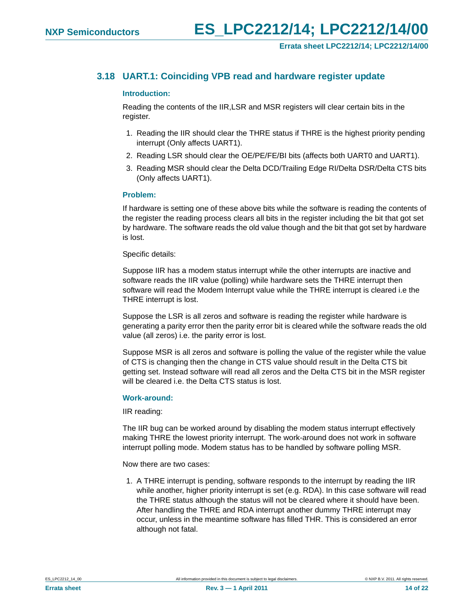## <span id="page-13-0"></span>**3.18 UART.1: Coinciding VPB read and hardware register update**

#### <span id="page-13-1"></span>**Introduction:**

Reading the contents of the IIR,LSR and MSR registers will clear certain bits in the register.

- 1. Reading the IIR should clear the THRE status if THRE is the highest priority pending interrupt (Only affects UART1).
- 2. Reading LSR should clear the OE/PE/FE/BI bits (affects both UART0 and UART1).
- 3. Reading MSR should clear the Delta DCD/Trailing Edge RI/Delta DSR/Delta CTS bits (Only affects UART1).

#### <span id="page-13-2"></span>**Problem:**

If hardware is setting one of these above bits while the software is reading the contents of the register the reading process clears all bits in the register including the bit that got set by hardware. The software reads the old value though and the bit that got set by hardware is lost.

#### Specific details:

Suppose IIR has a modem status interrupt while the other interrupts are inactive and software reads the IIR value (polling) while hardware sets the THRE interrupt then software will read the Modem Interrupt value while the THRE interrupt is cleared i.e the THRE interrupt is lost.

Suppose the LSR is all zeros and software is reading the register while hardware is generating a parity error then the parity error bit is cleared while the software reads the old value (all zeros) i.e. the parity error is lost.

Suppose MSR is all zeros and software is polling the value of the register while the value of CTS is changing then the change in CTS value should result in the Delta CTS bit getting set. Instead software will read all zeros and the Delta CTS bit in the MSR register will be cleared i.e. the Delta CTS status is lost.

#### <span id="page-13-3"></span>**Work-around:**

IIR reading:

The IIR bug can be worked around by disabling the modem status interrupt effectively making THRE the lowest priority interrupt. The work-around does not work in software interrupt polling mode. Modem status has to be handled by software polling MSR.

Now there are two cases:

1. A THRE interrupt is pending, software responds to the interrupt by reading the IIR while another, higher priority interrupt is set (e.g. RDA). In this case software will read the THRE status although the status will not be cleared where it should have been. After handling the THRE and RDA interrupt another dummy THRE interrupt may occur, unless in the meantime software has filled THR. This is considered an error although not fatal.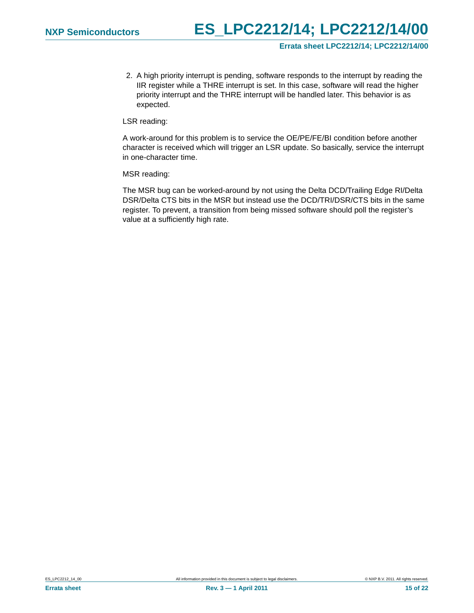2. A high priority interrupt is pending, software responds to the interrupt by reading the IIR register while a THRE interrupt is set. In this case, software will read the higher priority interrupt and the THRE interrupt will be handled later. This behavior is as expected.

LSR reading:

A work-around for this problem is to service the OE/PE/FE/BI condition before another character is received which will trigger an LSR update. So basically, service the interrupt in one-character time.

MSR reading:

The MSR bug can be worked-around by not using the Delta DCD/Trailing Edge RI/Delta DSR/Delta CTS bits in the MSR but instead use the DCD/TRI/DSR/CTS bits in the same register. To prevent, a transition from being missed software should poll the register's value at a sufficiently high rate.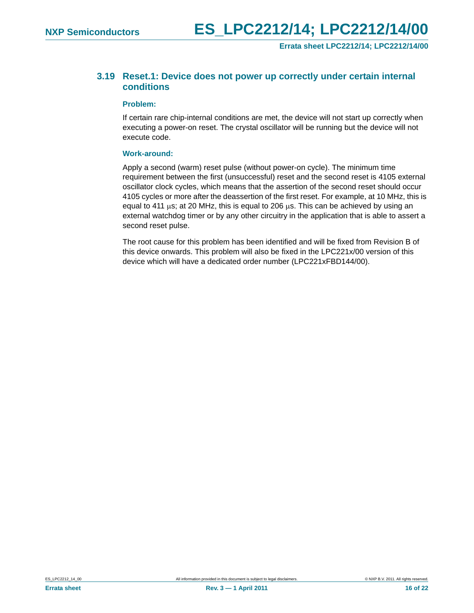**Errata sheet LPC2212/14; LPC2212/14/00**

## <span id="page-15-0"></span>**3.19 Reset.1: Device does not power up correctly under certain internal conditions**

#### <span id="page-15-1"></span>**Problem:**

If certain rare chip-internal conditions are met, the device will not start up correctly when executing a power-on reset. The crystal oscillator will be running but the device will not execute code.

#### <span id="page-15-2"></span>**Work-around:**

Apply a second (warm) reset pulse (without power-on cycle). The minimum time requirement between the first (unsuccessful) reset and the second reset is 4105 external oscillator clock cycles, which means that the assertion of the second reset should occur 4105 cycles or more after the deassertion of the first reset. For example, at 10 MHz, this is equal to 411  $\mu$ s; at 20 MHz, this is equal to 206  $\mu$ s. This can be achieved by using an external watchdog timer or by any other circuitry in the application that is able to assert a second reset pulse.

The root cause for this problem has been identified and will be fixed from Revision B of this device onwards. This problem will also be fixed in the LPC221x/00 version of this device which will have a dedicated order number (LPC221xFBD144/00).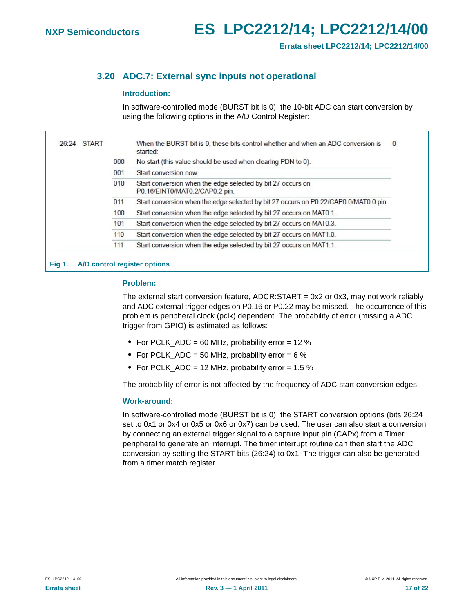## <span id="page-16-0"></span>**3.20 ADC.7: External sync inputs not operational**

#### <span id="page-16-1"></span>**Introduction:**

In software-controlled mode (BURST bit is 0), the 10-bit ADC can start conversion by using the following options in the A/D Control Register:

| 26:24 START |     | When the BURST bit is 0, these bits control whether and when an ADC conversion is<br>$\mathbf{0}$<br>started: |
|-------------|-----|---------------------------------------------------------------------------------------------------------------|
|             | 000 | No start (this value should be used when clearing PDN to 0).                                                  |
|             | 001 | Start conversion now                                                                                          |
|             | 010 | Start conversion when the edge selected by bit 27 occurs on<br>P0.16/EINT0/MAT0.2/CAP0.2 pin.                 |
|             | 011 | Start conversion when the edge selected by bit 27 occurs on P0.22/CAP0.0/MAT0.0 pin.                          |
|             | 100 | Start conversion when the edge selected by bit 27 occurs on MAT0.1.                                           |
|             | 101 | Start conversion when the edge selected by bit 27 occurs on MAT0.3.                                           |
|             | 110 | Start conversion when the edge selected by bit 27 occurs on MAT1.0.                                           |
|             | 111 | Start conversion when the edge selected by bit 27 occurs on MAT1.1.                                           |

## <span id="page-16-2"></span>**Problem:**

The external start conversion feature,  $ADCR:STAT = 0x2$  or 0x3, may not work reliably and ADC external trigger edges on P0.16 or P0.22 may be missed. The occurrence of this problem is peripheral clock (pclk) dependent. The probability of error (missing a ADC trigger from GPIO) is estimated as follows:

- **•** For PCLK\_ADC = 60 MHz, probability error = 12 %
- **•** For PCLK\_ADC = 50 MHz, probability error = 6 %
- **•** For PCLK\_ADC = 12 MHz, probability error = 1.5 %

The probability of error is not affected by the frequency of ADC start conversion edges.

#### <span id="page-16-3"></span>**Work-around:**

In software-controlled mode (BURST bit is 0), the START conversion options (bits 26:24 set to 0x1 or 0x4 or 0x5 or 0x6 or 0x7) can be used. The user can also start a conversion by connecting an external trigger signal to a capture input pin (CAPx) from a Timer peripheral to generate an interrupt. The timer interrupt routine can then start the ADC conversion by setting the START bits (26:24) to 0x1. The trigger can also be generated from a timer match register.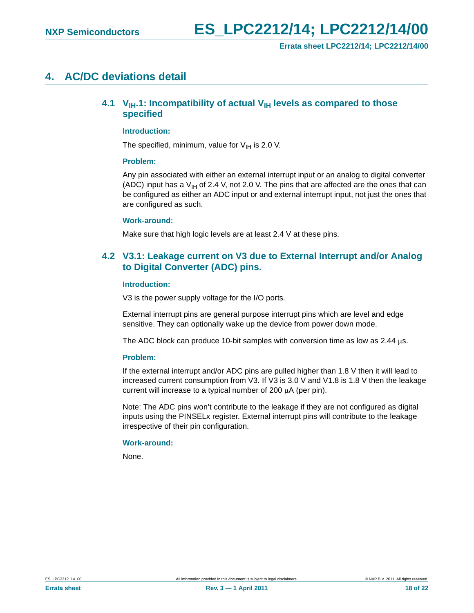## <span id="page-17-2"></span><span id="page-17-0"></span>**4. AC/DC deviations detail**

## **4.1 V<sub>IH</sub>.1: Incompatibility of actual V<sub>IH</sub> levels as compared to those specified**

#### <span id="page-17-3"></span>**Introduction:**

The specified, minimum, value for  $V_{IH}$  is 2.0 V.

#### <span id="page-17-4"></span>**Problem:**

Any pin associated with either an external interrupt input or an analog to digital converter (ADC) input has a  $V_{\text{H}}$  of 2.4 V, not 2.0 V. The pins that are affected are the ones that can be configured as either an ADC input or and external interrupt input, not just the ones that are configured as such.

#### <span id="page-17-5"></span>**Work-around:**

Make sure that high logic levels are at least 2.4 V at these pins.

## <span id="page-17-1"></span>**4.2 V3.1: Leakage current on V3 due to External Interrupt and/or Analog to Digital Converter (ADC) pins.**

#### <span id="page-17-6"></span>**Introduction:**

V3 is the power supply voltage for the I/O ports.

External interrupt pins are general purpose interrupt pins which are level and edge sensitive. They can optionally wake up the device from power down mode.

The ADC block can produce 10-bit samples with conversion time as low as 2.44  $\mu$ s.

#### <span id="page-17-7"></span>**Problem:**

If the external interrupt and/or ADC pins are pulled higher than 1.8 V then it will lead to increased current consumption from V3. If V3 is 3.0 V and V1.8 is 1.8 V then the leakage current will increase to a typical number of 200  $\mu$ A (per pin).

Note: The ADC pins won't contribute to the leakage if they are not configured as digital inputs using the PINSELx register. External interrupt pins will contribute to the leakage irrespective of their pin configuration.

#### <span id="page-17-8"></span>**Work-around:**

None.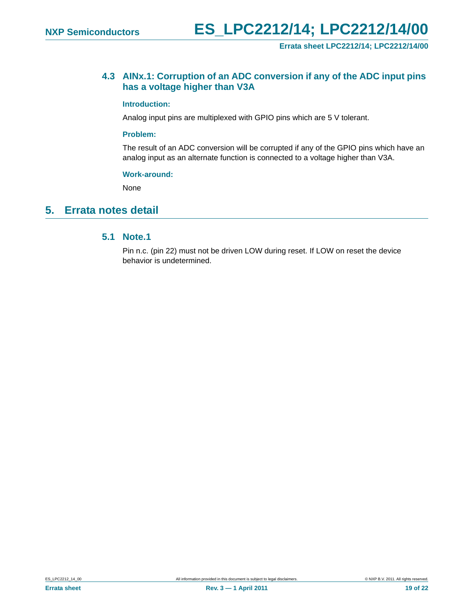#### **Errata sheet LPC2212/14; LPC2212/14/00**

## <span id="page-18-1"></span>**4.3 AINx.1: Corruption of an ADC conversion if any of the ADC input pins has a voltage higher than V3A**

#### <span id="page-18-2"></span>**Introduction:**

Analog input pins are multiplexed with GPIO pins which are 5 V tolerant.

#### <span id="page-18-3"></span>**Problem:**

The result of an ADC conversion will be corrupted if any of the GPIO pins which have an analog input as an alternate function is connected to a voltage higher than V3A.

#### <span id="page-18-4"></span>**Work-around:**

None

## <span id="page-18-5"></span><span id="page-18-0"></span>**5. Errata notes detail**

## **5.1 Note.1**

Pin n.c. (pin 22) must not be driven LOW during reset. If LOW on reset the device behavior is undetermined.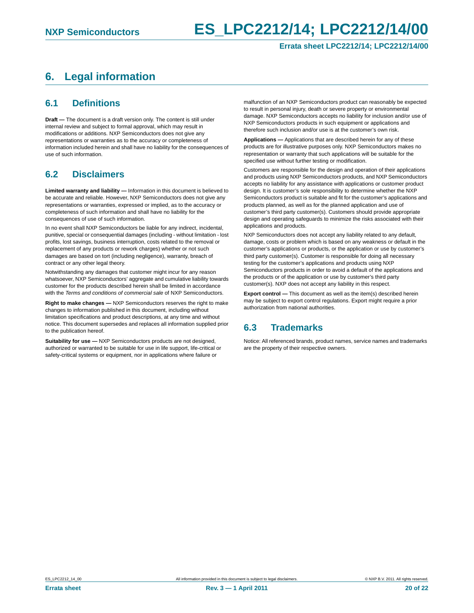# **NXP Semiconductors ES\_LPC2212/14; LPC2212/14/00**

#### **Errata sheet LPC2212/14; LPC2212/14/00**

# <span id="page-19-0"></span>**6. Legal information**

## <span id="page-19-1"></span>**6.1 Definitions**

**Draft —** The document is a draft version only. The content is still under internal review and subject to formal approval, which may result in modifications or additions. NXP Semiconductors does not give any representations or warranties as to the accuracy or completeness of information included herein and shall have no liability for the consequences of use of such information.

## <span id="page-19-2"></span>**6.2 Disclaimers**

**Limited warranty and liability —** Information in this document is believed to be accurate and reliable. However, NXP Semiconductors does not give any representations or warranties, expressed or implied, as to the accuracy or completeness of such information and shall have no liability for the consequences of use of such information.

In no event shall NXP Semiconductors be liable for any indirect, incidental, punitive, special or consequential damages (including - without limitation - lost profits, lost savings, business interruption, costs related to the removal or replacement of any products or rework charges) whether or not such damages are based on tort (including negligence), warranty, breach of contract or any other legal theory.

Notwithstanding any damages that customer might incur for any reason whatsoever, NXP Semiconductors' aggregate and cumulative liability towards customer for the products described herein shall be limited in accordance with the *Terms and conditions of commercial sale* of NXP Semiconductors.

**Right to make changes —** NXP Semiconductors reserves the right to make changes to information published in this document, including without limitation specifications and product descriptions, at any time and without notice. This document supersedes and replaces all information supplied prior to the publication hereof.

**Suitability for use —** NXP Semiconductors products are not designed, authorized or warranted to be suitable for use in life support, life-critical or safety-critical systems or equipment, nor in applications where failure or

malfunction of an NXP Semiconductors product can reasonably be expected to result in personal injury, death or severe property or environmental damage. NXP Semiconductors accepts no liability for inclusion and/or use of NXP Semiconductors products in such equipment or applications and therefore such inclusion and/or use is at the customer's own risk.

**Applications —** Applications that are described herein for any of these products are for illustrative purposes only. NXP Semiconductors makes no representation or warranty that such applications will be suitable for the specified use without further testing or modification.

Customers are responsible for the design and operation of their applications and products using NXP Semiconductors products, and NXP Semiconductors accepts no liability for any assistance with applications or customer product design. It is customer's sole responsibility to determine whether the NXP Semiconductors product is suitable and fit for the customer's applications and products planned, as well as for the planned application and use of customer's third party customer(s). Customers should provide appropriate design and operating safeguards to minimize the risks associated with their applications and products.

NXP Semiconductors does not accept any liability related to any default, damage, costs or problem which is based on any weakness or default in the customer's applications or products, or the application or use by customer's third party customer(s). Customer is responsible for doing all necessary testing for the customer's applications and products using NXP Semiconductors products in order to avoid a default of the applications and the products or of the application or use by customer's third party customer(s). NXP does not accept any liability in this respect.

**Export control —** This document as well as the item(s) described herein may be subject to export control regulations. Export might require a prior authorization from national authorities.

## <span id="page-19-3"></span>**6.3 Trademarks**

Notice: All referenced brands, product names, service names and trademarks are the property of their respective owners.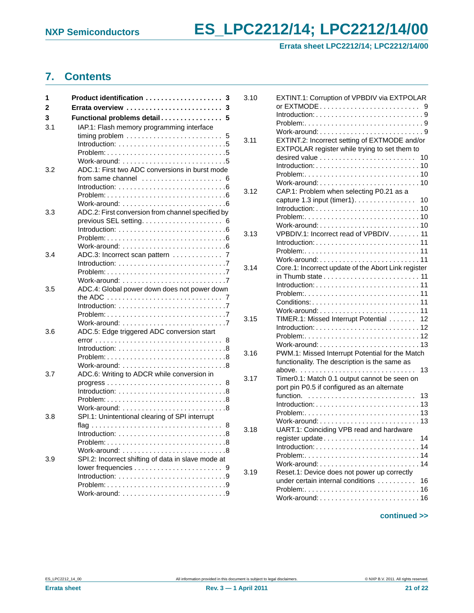# **NXP Semiconductors ES\_LPC2212/14; LPC2212/14/00**

**Errata sheet LPC2212/14; LPC2212/14/00**

# <span id="page-20-0"></span>**7. Contents**

| 1   | Product identification<br>3                                                        |
|-----|------------------------------------------------------------------------------------|
| 2   | Errata overview<br>-3                                                              |
| 3   | Functional problems detail<br>5                                                    |
| 3.1 | IAP.1: Flash memory programming interface                                          |
|     | 5                                                                                  |
|     | Introduction: $\ldots \ldots \ldots \ldots \ldots \ldots \ldots \ldots$            |
|     |                                                                                    |
| 3.2 | ADC.1: First two ADC conversions in burst mode                                     |
|     | from same channel $\ldots, \ldots, \ldots, \ldots, \ldots, 6$                      |
|     | Introduction: $\ldots \ldots \ldots \ldots \ldots \ldots \ldots \ldots$            |
|     | $Problem: \ldots \ldots \ldots \ldots \ldots \ldots \ldots \ldots \ldots \ldots 6$ |
|     |                                                                                    |
| 3.3 | ADC.2: First conversion from channel specified by                                  |
|     |                                                                                    |
|     | Introduction: $\ldots \ldots \ldots \ldots \ldots \ldots \ldots \ldots \ldots 6$   |
|     | $Problem: 6$<br>Work-around: $\ldots \ldots \ldots \ldots \ldots \ldots \ldots$    |
| 3.4 | ADC.3: Incorrect scan pattern  7                                                   |
|     |                                                                                    |
|     |                                                                                    |
|     |                                                                                    |
| 3.5 | ADC.4: Global power down does not power down                                       |
|     | the ADC $\ldots \ldots \ldots \ldots \ldots \ldots \ldots \ldots \ldots$           |
|     | Introduction: $\ldots \ldots \ldots \ldots \ldots \ldots \ldots \ldots \ldots$     |
|     |                                                                                    |
| 3.6 | ADC.5: Edge triggered ADC conversion start                                         |
|     |                                                                                    |
|     | Introduction: $\ldots \ldots \ldots \ldots \ldots \ldots \ldots \ldots$            |
|     |                                                                                    |
|     |                                                                                    |
| 3.7 | ADC.6: Writing to ADCR while conversion in                                         |
|     | $progress \dots \dots \dots \dots \dots \dots \dots \dots \dots \dots \ 8$         |
|     | Introduction: $\ldots \ldots \ldots \ldots \ldots \ldots \ldots \ldots$            |
|     |                                                                                    |
| 3.8 | SPI.1: Unintentional clearing of SPI interrupt                                     |
|     |                                                                                    |
|     |                                                                                    |
|     | $\ldots 8$                                                                         |
|     | Work-around: $\ldots \ldots \ldots \ldots \ldots \ldots \ldots$                    |
| 3.9 | SPI.2: Incorrect shifting of data in slave mode at                                 |
|     |                                                                                    |
|     |                                                                                    |
|     |                                                                                    |
|     |                                                                                    |

| 3.10 | EXTINT.1: Corruption of VPBDIV via EXTPOLAR                                                  |
|------|----------------------------------------------------------------------------------------------|
|      | 9                                                                                            |
|      |                                                                                              |
|      |                                                                                              |
|      |                                                                                              |
| 3.11 | EXTINT.2: Incorrect setting of EXTMODE and/or                                                |
|      | EXTPOLAR register while trying to set them to                                                |
|      | desired value $\ldots \ldots \ldots \ldots \ldots \ldots \ldots$<br>10                       |
|      | 10                                                                                           |
|      |                                                                                              |
|      |                                                                                              |
| 3.12 | CAP.1: Problem when selecting P0.21 as a                                                     |
|      | capture $1.3$ input (timer1).<br>10                                                          |
|      | $Introduction: \ldots \ldots \ldots \ldots \ldots \ldots \ldots \ldots \ldots$<br>10         |
|      |                                                                                              |
|      |                                                                                              |
| 3.13 | VPBDIV.1: Incorrect read of VPBDIV. 11                                                       |
|      | $Introduction:$                                                                              |
|      | Problem:                                                                                     |
|      | 11                                                                                           |
| 3.14 | Core.1: Incorrect update of the Abort Link register                                          |
|      | in Thumb state $\ldots \ldots \ldots \ldots \ldots \ldots \ldots$                            |
|      |                                                                                              |
|      | $Introduction: 11$                                                                           |
|      | $Conditions: \ldots, \ldots, \ldots, \ldots, \ldots, \ldots, \ldots, \ldots, \ldots, \ldots$ |
|      |                                                                                              |
|      | Work-around: $\ldots \ldots \ldots \ldots \ldots \ldots \ldots \ldots \ldots$<br>11          |
| 3.15 | TIMER.1: Missed Interrupt Potential<br>12                                                    |
|      | $Introduction: 12$                                                                           |
|      | Problem:12                                                                                   |
|      |                                                                                              |
| 3.16 | PWM.1: Missed Interrupt Potential for the Match                                              |
|      | functionality. The description is the same as                                                |
|      | 13<br>above.                                                                                 |
| 3.17 | Timer0.1: Match 0.1 output cannot be seen on                                                 |
|      | port pin P0.5 if configured as an alternate                                                  |
|      | function.<br>13                                                                              |
|      | $Introduction: 13$                                                                           |
|      | 13                                                                                           |
|      | Work-around: $\ldots \ldots \ldots \ldots \ldots \ldots \ldots \ldots$<br>13                 |
| 3.18 | UART.1: Coinciding VPB read and hardware                                                     |
|      | register update<br>14                                                                        |
|      | $Introduction: 14$                                                                           |
|      | $Problem: \ldots, \ldots, \ldots, \ldots, \ldots, \ldots, \ldots, 14$                        |
|      |                                                                                              |
| 3.19 | Reset.1: Device does not power up correctly                                                  |
|      | under certain internal conditions<br>16                                                      |
|      |                                                                                              |
|      |                                                                                              |
|      |                                                                                              |

## **continued >>**